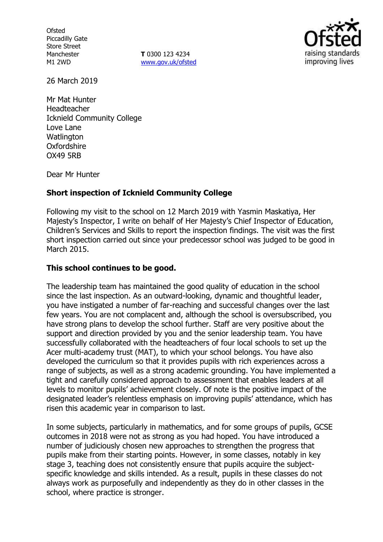**Ofsted** Piccadilly Gate Store Street Manchester M1 2WD

**T** 0300 123 4234 www.gov.uk/ofsted



26 March 2019

Mr Mat Hunter Headteacher Icknield Community College Love Lane **Watlington** Oxfordshire OX49 5RB

Dear Mr Hunter

### **Short inspection of Icknield Community College**

Following my visit to the school on 12 March 2019 with Yasmin Maskatiya, Her Majesty's Inspector, I write on behalf of Her Majesty's Chief Inspector of Education, Children's Services and Skills to report the inspection findings. The visit was the first short inspection carried out since your predecessor school was judged to be good in March 2015.

## **This school continues to be good.**

The leadership team has maintained the good quality of education in the school since the last inspection. As an outward-looking, dynamic and thoughtful leader, you have instigated a number of far-reaching and successful changes over the last few years. You are not complacent and, although the school is oversubscribed, you have strong plans to develop the school further. Staff are very positive about the support and direction provided by you and the senior leadership team. You have successfully collaborated with the headteachers of four local schools to set up the Acer multi-academy trust (MAT), to which your school belongs. You have also developed the curriculum so that it provides pupils with rich experiences across a range of subjects, as well as a strong academic grounding. You have implemented a tight and carefully considered approach to assessment that enables leaders at all levels to monitor pupils' achievement closely. Of note is the positive impact of the designated leader's relentless emphasis on improving pupils' attendance, which has risen this academic year in comparison to last.

In some subjects, particularly in mathematics, and for some groups of pupils, GCSE outcomes in 2018 were not as strong as you had hoped. You have introduced a number of judiciously chosen new approaches to strengthen the progress that pupils make from their starting points. However, in some classes, notably in key stage 3, teaching does not consistently ensure that pupils acquire the subjectspecific knowledge and skills intended. As a result, pupils in these classes do not always work as purposefully and independently as they do in other classes in the school, where practice is stronger.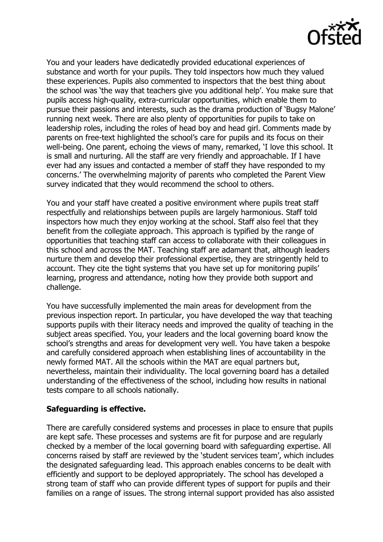

You and your leaders have dedicatedly provided educational experiences of substance and worth for your pupils. They told inspectors how much they valued these experiences. Pupils also commented to inspectors that the best thing about the school was 'the way that teachers give you additional help'. You make sure that pupils access high-quality, extra-curricular opportunities, which enable them to pursue their passions and interests, such as the drama production of 'Bugsy Malone' running next week. There are also plenty of opportunities for pupils to take on leadership roles, including the roles of head boy and head girl. Comments made by parents on free-text highlighted the school's care for pupils and its focus on their well-being. One parent, echoing the views of many, remarked, 'I love this school. It is small and nurturing. All the staff are very friendly and approachable. If I have ever had any issues and contacted a member of staff they have responded to my concerns.' The overwhelming majority of parents who completed the Parent View survey indicated that they would recommend the school to others.

You and your staff have created a positive environment where pupils treat staff respectfully and relationships between pupils are largely harmonious. Staff told inspectors how much they enjoy working at the school. Staff also feel that they benefit from the collegiate approach. This approach is typified by the range of opportunities that teaching staff can access to collaborate with their colleagues in this school and across the MAT. Teaching staff are adamant that, although leaders nurture them and develop their professional expertise, they are stringently held to account. They cite the tight systems that you have set up for monitoring pupils' learning, progress and attendance, noting how they provide both support and challenge.

You have successfully implemented the main areas for development from the previous inspection report. In particular, you have developed the way that teaching supports pupils with their literacy needs and improved the quality of teaching in the subject areas specified. You, your leaders and the local governing board know the school's strengths and areas for development very well. You have taken a bespoke and carefully considered approach when establishing lines of accountability in the newly formed MAT. All the schools within the MAT are equal partners but, nevertheless, maintain their individuality. The local governing board has a detailed understanding of the effectiveness of the school, including how results in national tests compare to all schools nationally.

### **Safeguarding is effective.**

There are carefully considered systems and processes in place to ensure that pupils are kept safe. These processes and systems are fit for purpose and are regularly checked by a member of the local governing board with safeguarding expertise. All concerns raised by staff are reviewed by the 'student services team', which includes the designated safeguarding lead. This approach enables concerns to be dealt with efficiently and support to be deployed appropriately. The school has developed a strong team of staff who can provide different types of support for pupils and their families on a range of issues. The strong internal support provided has also assisted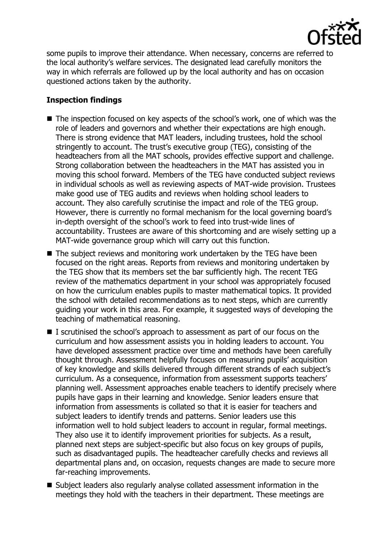

some pupils to improve their attendance. When necessary, concerns are referred to the local authority's welfare services. The designated lead carefully monitors the way in which referrals are followed up by the local authority and has on occasion questioned actions taken by the authority.

# **Inspection findings**

- The inspection focused on key aspects of the school's work, one of which was the role of leaders and governors and whether their expectations are high enough. There is strong evidence that MAT leaders, including trustees, hold the school stringently to account. The trust's executive group (TEG), consisting of the headteachers from all the MAT schools, provides effective support and challenge. Strong collaboration between the headteachers in the MAT has assisted you in moving this school forward. Members of the TEG have conducted subject reviews in individual schools as well as reviewing aspects of MAT-wide provision. Trustees make good use of TEG audits and reviews when holding school leaders to account. They also carefully scrutinise the impact and role of the TEG group. However, there is currently no formal mechanism for the local governing board's in-depth oversight of the school's work to feed into trust-wide lines of accountability. Trustees are aware of this shortcoming and are wisely setting up a MAT-wide governance group which will carry out this function.
- The subject reviews and monitoring work undertaken by the TEG have been focused on the right areas. Reports from reviews and monitoring undertaken by the TEG show that its members set the bar sufficiently high. The recent TEG review of the mathematics department in your school was appropriately focused on how the curriculum enables pupils to master mathematical topics. It provided the school with detailed recommendations as to next steps, which are currently guiding your work in this area. For example, it suggested ways of developing the teaching of mathematical reasoning.
- I scrutinised the school's approach to assessment as part of our focus on the curriculum and how assessment assists you in holding leaders to account. You have developed assessment practice over time and methods have been carefully thought through. Assessment helpfully focuses on measuring pupils' acquisition of key knowledge and skills delivered through different strands of each subject's curriculum. As a consequence, information from assessment supports teachers' planning well. Assessment approaches enable teachers to identify precisely where pupils have gaps in their learning and knowledge. Senior leaders ensure that information from assessments is collated so that it is easier for teachers and subject leaders to identify trends and patterns. Senior leaders use this information well to hold subject leaders to account in regular, formal meetings. They also use it to identify improvement priorities for subjects. As a result, planned next steps are subject-specific but also focus on key groups of pupils, such as disadvantaged pupils. The headteacher carefully checks and reviews all departmental plans and, on occasion, requests changes are made to secure more far-reaching improvements.
- Subject leaders also regularly analyse collated assessment information in the meetings they hold with the teachers in their department. These meetings are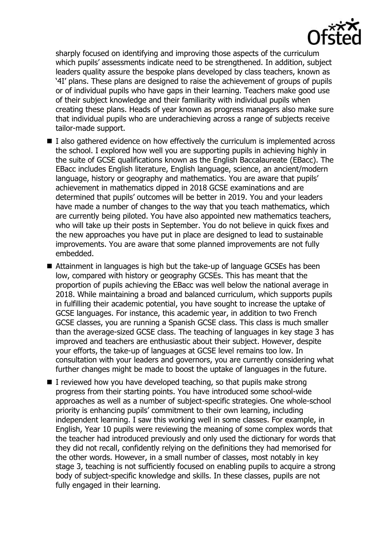

sharply focused on identifying and improving those aspects of the curriculum which pupils' assessments indicate need to be strengthened. In addition, subject leaders quality assure the bespoke plans developed by class teachers, known as '4I' plans. These plans are designed to raise the achievement of groups of pupils or of individual pupils who have gaps in their learning. Teachers make good use of their subject knowledge and their familiarity with individual pupils when creating these plans. Heads of year known as progress managers also make sure that individual pupils who are underachieving across a range of subjects receive tailor-made support.

- $\blacksquare$  I also gathered evidence on how effectively the curriculum is implemented across the school. I explored how well you are supporting pupils in achieving highly in the suite of GCSE qualifications known as the English Baccalaureate (EBacc). The EBacc includes English literature, English language, science, an ancient/modern language, history or geography and mathematics. You are aware that pupils' achievement in mathematics dipped in 2018 GCSE examinations and are determined that pupils' outcomes will be better in 2019. You and your leaders have made a number of changes to the way that you teach mathematics, which are currently being piloted. You have also appointed new mathematics teachers, who will take up their posts in September. You do not believe in quick fixes and the new approaches you have put in place are designed to lead to sustainable improvements. You are aware that some planned improvements are not fully embedded.
- Attainment in languages is high but the take-up of language GCSEs has been low, compared with history or geography GCSEs. This has meant that the proportion of pupils achieving the EBacc was well below the national average in 2018. While maintaining a broad and balanced curriculum, which supports pupils in fulfilling their academic potential, you have sought to increase the uptake of GCSE languages. For instance, this academic year, in addition to two French GCSE classes, you are running a Spanish GCSE class. This class is much smaller than the average-sized GCSE class. The teaching of languages in key stage 3 has improved and teachers are enthusiastic about their subject. However, despite your efforts, the take-up of languages at GCSE level remains too low. In consultation with your leaders and governors, you are currently considering what further changes might be made to boost the uptake of languages in the future.
- $\blacksquare$  I reviewed how you have developed teaching, so that pupils make strong progress from their starting points. You have introduced some school-wide approaches as well as a number of subject-specific strategies. One whole-school priority is enhancing pupils' commitment to their own learning, including independent learning. I saw this working well in some classes. For example, in English, Year 10 pupils were reviewing the meaning of some complex words that the teacher had introduced previously and only used the dictionary for words that they did not recall, confidently relying on the definitions they had memorised for the other words. However, in a small number of classes, most notably in key stage 3, teaching is not sufficiently focused on enabling pupils to acquire a strong body of subject-specific knowledge and skills. In these classes, pupils are not fully engaged in their learning.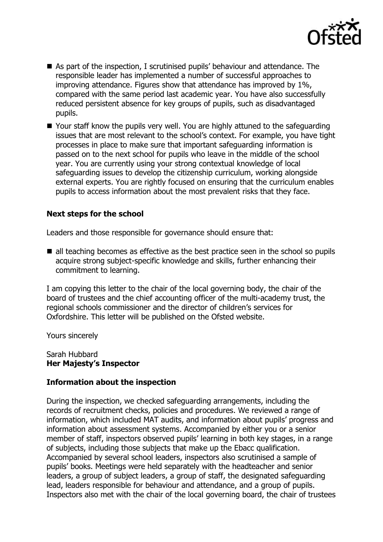

- As part of the inspection, I scrutinised pupils' behaviour and attendance. The responsible leader has implemented a number of successful approaches to improving attendance. Figures show that attendance has improved by 1%, compared with the same period last academic year. You have also successfully reduced persistent absence for key groups of pupils, such as disadvantaged pupils.
- Your staff know the pupils very well. You are highly attuned to the safeguarding issues that are most relevant to the school's context. For example, you have tight processes in place to make sure that important safeguarding information is passed on to the next school for pupils who leave in the middle of the school year. You are currently using your strong contextual knowledge of local safeguarding issues to develop the citizenship curriculum, working alongside external experts. You are rightly focused on ensuring that the curriculum enables pupils to access information about the most prevalent risks that they face.

### **Next steps for the school**

Leaders and those responsible for governance should ensure that:

■ all teaching becomes as effective as the best practice seen in the school so pupils acquire strong subject-specific knowledge and skills, further enhancing their commitment to learning.

I am copying this letter to the chair of the local governing body, the chair of the board of trustees and the chief accounting officer of the multi-academy trust, the regional schools commissioner and the director of children's services for Oxfordshire. This letter will be published on the Ofsted website.

Yours sincerely

Sarah Hubbard **Her Majesty's Inspector**

#### **Information about the inspection**

During the inspection, we checked safeguarding arrangements, including the records of recruitment checks, policies and procedures. We reviewed a range of information, which included MAT audits, and information about pupils' progress and information about assessment systems. Accompanied by either you or a senior member of staff, inspectors observed pupils' learning in both key stages, in a range of subjects, including those subjects that make up the Ebacc qualification. Accompanied by several school leaders, inspectors also scrutinised a sample of pupils' books. Meetings were held separately with the headteacher and senior leaders, a group of subject leaders, a group of staff, the designated safeguarding lead, leaders responsible for behaviour and attendance, and a group of pupils. Inspectors also met with the chair of the local governing board, the chair of trustees